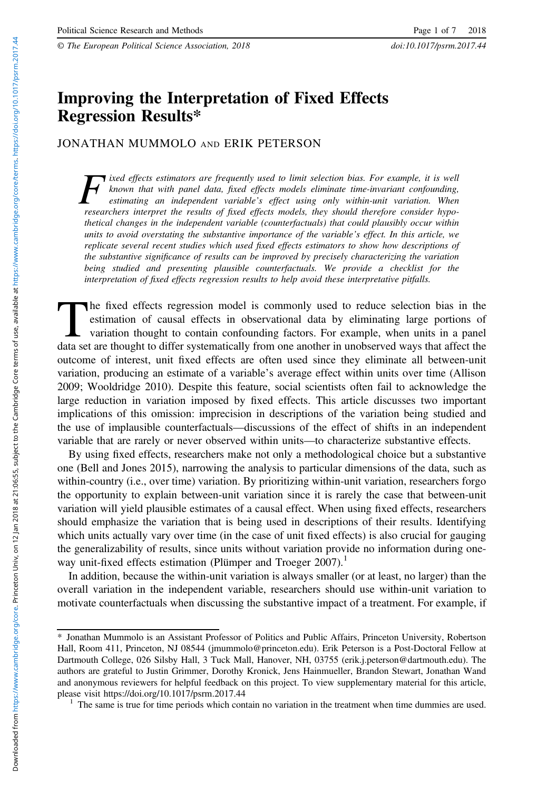© The European Political Science Association, 2018 doi:10.1017/psrm.2017.44

# Improving the Interpretation of Fixed Effects Regression Results\*

JONATHAN MUMMOLO AND ERIK PETERSON

T ixed effects estimators are frequently used to limit selection bias. For example, it is well known that with panel data, fixed effects models eliminate time-invariant confounding, estimating an independent variable's effect using only within-unit variation. When researchers interpret the results of fixed effects models, they should therefore consider hypothetical changes in the independent variable (counterfactuals) that could plausibly occur within units to avoid overstating the substantive importance of the variable's effect. In this article, we replicate several recent studies which used fixed effects estimators to show how descriptions of the substantive significance of results can be improved by precisely characterizing the variation being studied and presenting plausible counterfactuals. We provide a checklist for the interpretation of fixed effects regression results to help avoid these interpretative pitfalls.

The fixed effects regression model is commonly used to reduce selection bias in the estimation of causal effects in observational data by eliminating large portions of variation thought to contain confounding factors. For example, when units in a panel data set are thought to differ systematically from one another in unobserved ways that affect the outcome of interest, unit fixed effects are often used since they eliminate all between-unit variation, producing an estimate of a variable's average effect within units over time (Allison 2009; Wooldridge 2010). Despite this feature, social scientists often fail to acknowledge the large reduction in variation imposed by fixed effects. This article discusses two important implications of this omission: imprecision in descriptions of the variation being studied and the use of implausible counterfactuals—discussions of the effect of shifts in an independent variable that are rarely or never observed within units—to characterize substantive effects.

By using fixed effects, researchers make not only a methodological choice but a substantive one (Bell and Jones 2015), narrowing the analysis to particular dimensions of the data, such as within-country (i.e., over time) variation. By prioritizing within-unit variation, researchers forgo the opportunity to explain between-unit variation since it is rarely the case that between-unit variation will yield plausible estimates of a causal effect. When using fixed effects, researchers should emphasize the variation that is being used in descriptions of their results. Identifying which units actually vary over time (in the case of unit fixed effects) is also crucial for gauging the generalizability of results, since units without variation provide no information during oneway unit-fixed effects estimation (Plümper and Troeger  $2007$ ).<sup>1</sup>

In addition, because the within-unit variation is always smaller (or at least, no larger) than the overall variation in the independent variable, researchers should use within-unit variation to motivate counterfactuals when discussing the substantive impact of a treatment. For example, if

<sup>\*</sup> Jonathan Mummolo is an Assistant Professor of Politics and Public Affairs, Princeton University, Robertson Hall, Room 411, Princeton, NJ 08544 [\(jmummolo@princeton.edu\)](mailto:jmummolo@princeton.edu). Erik Peterson is a Post-Doctoral Fellow at Dartmouth College, 026 Silsby Hall, 3 Tuck Mall, Hanover, NH, 03755 (erik.j.peterson@dartmouth.edu). The authors are grateful to Justin Grimmer, Dorothy Kronick, Jens Hainmueller, Brandon Stewart, Jonathan Wand and anonymous reviewers for helpful feedback on this project. To view supplementary material for this article, please visit https://doi.org/10.1017/psrm.2017.44 1 The same is true for time periods which contain no variation in the treatment when time dummies are used.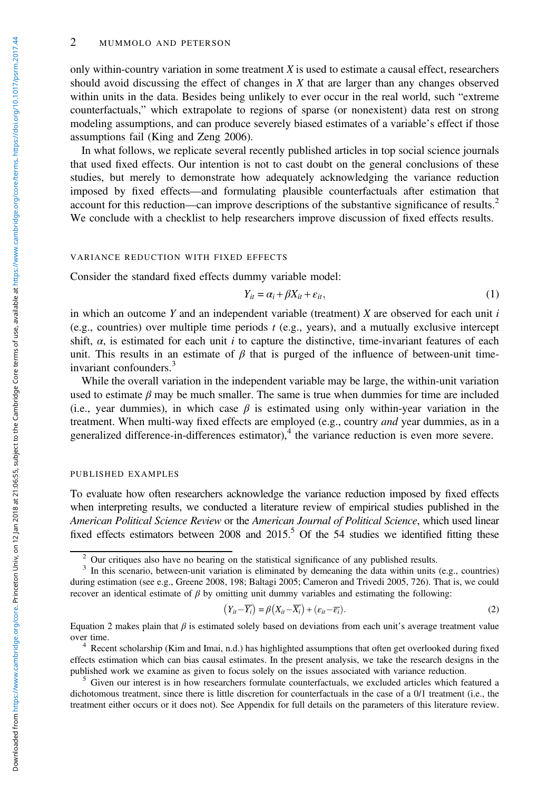#### 2 MUMMOLO AND PETERSON

only within-country variation in some treatment  $X$  is used to estimate a causal effect, researchers should avoid discussing the effect of changes in  $X$  that are larger than any changes observed within units in the data. Besides being unlikely to ever occur in the real world, such "extreme counterfactuals," which extrapolate to regions of sparse (or nonexistent) data rest on strong modeling assumptions, and can produce severely biased estimates of a variable's effect if those assumptions fail (King and Zeng 2006).

In what follows, we replicate several recently published articles in top social science journals that used fixed effects. Our intention is not to cast doubt on the general conclusions of these studies, but merely to demonstrate how adequately acknowledging the variance reduction imposed by fixed effects—and formulating plausible counterfactuals after estimation that account for this reduction—can improve descriptions of the substantive significance of results.<sup>2</sup> We conclude with a checklist to help researchers improve discussion of fixed effects results.

#### VARIANCE REDUCTION WITH FIXED EFFECTS

Consider the standard fixed effects dummy variable model:

$$
Y_{it} = \alpha_i + \beta X_{it} + \varepsilon_{it},\tag{1}
$$

in which an outcome Y and an independent variable (treatment) X are observed for each unit  $i$ (e.g., countries) over multiple time periods  $t$  (e.g., years), and a mutually exclusive intercept shift,  $\alpha$ , is estimated for each unit *i* to capture the distinctive, time-invariant features of each unit. This results in an estimate of  $\beta$  that is purged of the influence of between-unit timeinvariant confounders.<sup>3</sup>

While the overall variation in the independent variable may be large, the within-unit variation used to estimate  $\beta$  may be much smaller. The same is true when dummies for time are included (i.e., year dummies), in which case  $\beta$  is estimated using only within-year variation in the treatment. When multi-way fixed effects are employed (e.g., country *and* year dummies, as in a generalized difference-in-differences estimator), $\frac{4}{3}$  the variance reduction is even more severe.

#### PUBLISHED EXAMPLES

To evaluate how often researchers acknowledge the variance reduction imposed by fixed effects when interpreting results, we conducted a literature review of empirical studies published in the American Political Science Review or the American Journal of Political Science, which used linear fixed effects estimators between 2008 and 2015.<sup>5</sup> Of the 54 studies we identified fitting these

$$
(Y_{it} - \overline{Y_i}) = \beta (X_{it} - \overline{X_i}) + (\varepsilon_{it} - \overline{\varepsilon_i}).
$$
\n(2)

Equation 2 makes plain that  $\beta$  is estimated solely based on deviations from each unit's average treatment value over time.<br><sup>4</sup> Recent scholarship (Kim and Imai, n.d.) has highlighted assumptions that often get overlooked during fixed

<sup>&</sup>lt;sup>2</sup> Our critiques also have no bearing on the statistical significance of any published results. <sup>3</sup> In this scenario, between-unit variation is eliminated by demeaning the data within units (e.g., countries) during estimation (see e.g., Greene 2008, 198; Baltagi 2005; Cameron and Trivedi 2005, 726). That is, we could recover an identical estimate of  $\beta$  by omitting unit dummy variables and estimating the following:

effects estimation which can bias causal estimates. In the present analysis, we take the research designs in the published work we examine as given to focus solely on the issues associated with variance reduction.

 $5$  Given our interest is in how researchers formulate counterfactuals, we excluded articles which featured a dichotomous treatment, since there is little discretion for counterfactuals in the case of a 0/1 treatment (i.e., the treatment either occurs or it does not). See Appendix for full details on the parameters of this literature review.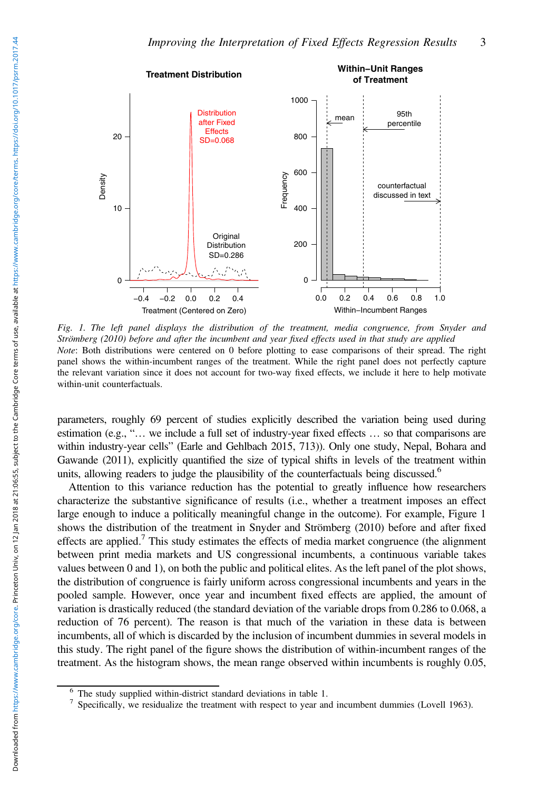

Fig. 1. The left panel displays the distribution of the treatment, media congruence, from Snyder and Strömberg (2010) before and after the incumbent and year fixed effects used in that study are applied Note: Both distributions were centered on 0 before plotting to ease comparisons of their spread. The right panel shows the within-incumbent ranges of the treatment. While the right panel does not perfectly capture the relevant variation since it does not account for two-way fixed effects, we include it here to help motivate within-unit counterfactuals.

parameters, roughly 69 percent of studies explicitly described the variation being used during estimation (e.g., "… we include a full set of industry-year fixed effects … so that comparisons are within industry-year cells" (Earle and Gehlbach 2015, 713)). Only one study, Nepal, Bohara and Gawande (2011), explicitly quantified the size of typical shifts in levels of the treatment within units, allowing readers to judge the plausibility of the counterfactuals being discussed.<sup>6</sup>

Attention to this variance reduction has the potential to greatly influence how researchers characterize the substantive significance of results (i.e., whether a treatment imposes an effect large enough to induce a politically meaningful change in the outcome). For example, Figure 1 shows the distribution of the treatment in Snyder and Strömberg (2010) before and after fixed effects are applied.<sup>7</sup> This study estimates the effects of media market congruence (the alignment between print media markets and US congressional incumbents, a continuous variable takes values between 0 and 1), on both the public and political elites. As the left panel of the plot shows, the distribution of congruence is fairly uniform across congressional incumbents and years in the pooled sample. However, once year and incumbent fixed effects are applied, the amount of variation is drastically reduced (the standard deviation of the variable drops from 0.286 to 0.068, a reduction of 76 percent). The reason is that much of the variation in these data is between incumbents, all of which is discarded by the inclusion of incumbent dummies in several models in this study. The right panel of the figure shows the distribution of within-incumbent ranges of the treatment. As the histogram shows, the mean range observed within incumbents is roughly 0.05,

<sup>&</sup>lt;sup>6</sup> The study supplied within-district standard deviations in table 1.<br><sup>7</sup> Specifically, we residualize the treatment with respect to year and incumbent dummies (Lovell 1963).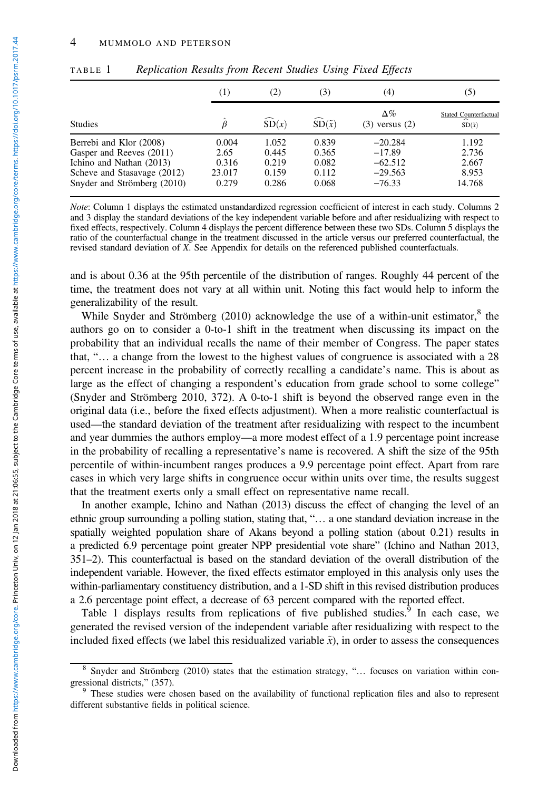|                                                                                                                                               | (1)                                       | (2)                                       | (3)                                       | (4)                                                         | (5)                                                  |
|-----------------------------------------------------------------------------------------------------------------------------------------------|-------------------------------------------|-------------------------------------------|-------------------------------------------|-------------------------------------------------------------|------------------------------------------------------|
| <b>Studies</b>                                                                                                                                |                                           | SD(x)                                     | $\widehat{\text{SD}}(\tilde{x})$          | $\Delta\%$<br>$(3)$ versus $(2)$                            | <b>Stated Counterfactual</b><br>∼<br>$SD(\tilde{x})$ |
| Berrebi and Klor (2008)<br>Gasper and Reeves (2011)<br>Ichino and Nathan (2013)<br>Scheve and Stasavage (2012)<br>Snyder and Strömberg (2010) | 0.004<br>2.65<br>0.316<br>23.017<br>0.279 | 1.052<br>0.445<br>0.219<br>0.159<br>0.286 | 0.839<br>0.365<br>0.082<br>0.112<br>0.068 | $-20.284$<br>$-17.89$<br>$-62.512$<br>$-29.563$<br>$-76.33$ | 1.192<br>2.736<br>2.667<br>8.953<br>14.768           |

TABLE 1 Replication Results from Recent Studies Using Fixed Effects

Note: Column 1 displays the estimated unstandardized regression coefficient of interest in each study. Columns 2 and 3 display the standard deviations of the key independent variable before and after residualizing with respect to fixed effects, respectively. Column 4 displays the percent difference between these two SDs. Column 5 displays the ratio of the counterfactual change in the treatment discussed in the article versus our preferred counterfactual, the revised standard deviation of X. See Appendix for details on the referenced published counterfactuals.

and is about 0.36 at the 95th percentile of the distribution of ranges. Roughly 44 percent of the time, the treatment does not vary at all within unit. Noting this fact would help to inform the generalizability of the result.

While Snyder and Strömberg  $(2010)$  acknowledge the use of a within-unit estimator,  $8$  the authors go on to consider a 0-to-1 shift in the treatment when discussing its impact on the probability that an individual recalls the name of their member of Congress. The paper states that, "… a change from the lowest to the highest values of congruence is associated with a 28 percent increase in the probability of correctly recalling a candidate's name. This is about as large as the effect of changing a respondent's education from grade school to some college" (Snyder and Strömberg 2010, 372). A 0-to-1 shift is beyond the observed range even in the original data (i.e., before the fixed effects adjustment). When a more realistic counterfactual is used—the standard deviation of the treatment after residualizing with respect to the incumbent and year dummies the authors employ—a more modest effect of a 1.9 percentage point increase in the probability of recalling a representative's name is recovered. A shift the size of the 95th percentile of within-incumbent ranges produces a 9.9 percentage point effect. Apart from rare cases in which very large shifts in congruence occur within units over time, the results suggest that the treatment exerts only a small effect on representative name recall.

In another example, Ichino and Nathan (2013) discuss the effect of changing the level of an ethnic group surrounding a polling station, stating that, "… a one standard deviation increase in the spatially weighted population share of Akans beyond a polling station (about 0.21) results in a predicted 6.9 percentage point greater NPP presidential vote share" (Ichino and Nathan 2013, 351–2). This counterfactual is based on the standard deviation of the overall distribution of the independent variable. However, the fixed effects estimator employed in this analysis only uses the within-parliamentary constituency distribution, and a 1-SD shift in this revised distribution produces a 2.6 percentage point effect, a decrease of 63 percent compared with the reported effect.

Table 1 displays results from replications of five published studies. $9$  In each case, we generated the revised version of the independent variable after residualizing with respect to the included fixed effects (we label this residualized variable  $\tilde{x}$ ), in order to assess the consequences

<sup>8</sup> Snyder and Strömberg (2010) states that the estimation strategy, "… focuses on variation within con-

<sup>&</sup>lt;sup>9</sup> These studies were chosen based on the availability of functional replication files and also to represent different substantive fields in political science.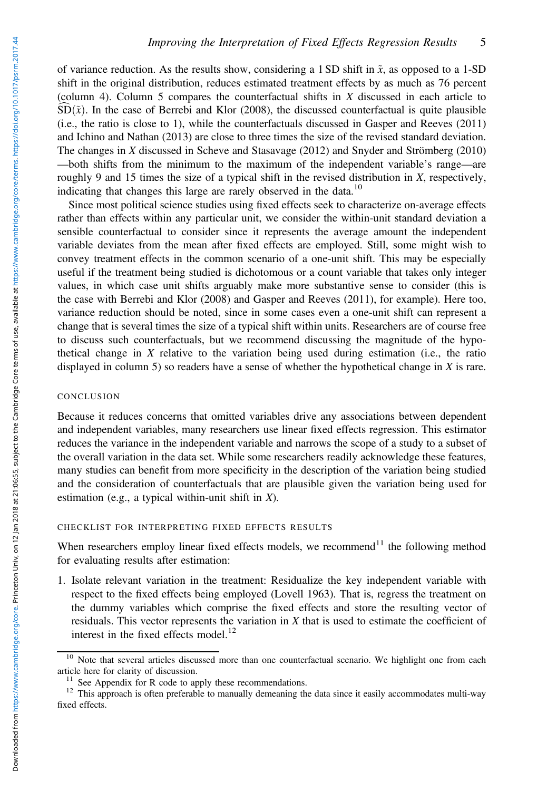of variance reduction. As the results show, considering a 1 SD shift in  $\tilde{x}$ , as opposed to a 1-SD shift in the original distribution, reduces estimated treatment effects by as much as 76 percent (column 4). Column 5 compares the counterfactual shifts in  $X$  discussed in each article to  $\widehat{SD}(\tilde{x})$ . In the case of Berrebi and Klor (2008), the discussed counterfactual is quite plausible (i.e., the ratio is close to 1), while the counterfactuals discussed in Gasper and Reeves (2011) and Ichino and Nathan (2013) are close to three times the size of the revised standard deviation. The changes in X discussed in Scheve and Stasavage (2012) and Snyder and Strömberg (2010) —both shifts from the minimum to the maximum of the independent variable's range—are roughly 9 and 15 times the size of a typical shift in the revised distribution in  $X$ , respectively, indicating that changes this large are rarely observed in the data.<sup>10</sup>

Since most political science studies using fixed effects seek to characterize on-average effects rather than effects within any particular unit, we consider the within-unit standard deviation a sensible counterfactual to consider since it represents the average amount the independent variable deviates from the mean after fixed effects are employed. Still, some might wish to convey treatment effects in the common scenario of a one-unit shift. This may be especially useful if the treatment being studied is dichotomous or a count variable that takes only integer values, in which case unit shifts arguably make more substantive sense to consider (this is the case with Berrebi and Klor (2008) and Gasper and Reeves (2011), for example). Here too, variance reduction should be noted, since in some cases even a one-unit shift can represent a change that is several times the size of a typical shift within units. Researchers are of course free to discuss such counterfactuals, but we recommend discussing the magnitude of the hypothetical change in X relative to the variation being used during estimation (i.e., the ratio displayed in column 5) so readers have a sense of whether the hypothetical change in  $X$  is rare.

### CONCLUSION

Because it reduces concerns that omitted variables drive any associations between dependent and independent variables, many researchers use linear fixed effects regression. This estimator reduces the variance in the independent variable and narrows the scope of a study to a subset of the overall variation in the data set. While some researchers readily acknowledge these features, many studies can benefit from more specificity in the description of the variation being studied and the consideration of counterfactuals that are plausible given the variation being used for estimation (e.g., a typical within-unit shift in  $X$ ).

### CHECKLIST FOR INTERPRETING FIXED EFFECTS RESULTS

When researchers employ linear fixed effects models, we recommend<sup>11</sup> the following method for evaluating results after estimation:

1. Isolate relevant variation in the treatment: Residualize the key independent variable with respect to the fixed effects being employed (Lovell 1963). That is, regress the treatment on the dummy variables which comprise the fixed effects and store the resulting vector of residuals. This vector represents the variation in  $X$  that is used to estimate the coefficient of interest in the fixed effects model.<sup>12</sup>

 $10$  Note that several articles discussed more than one counterfactual scenario. We highlight one from each article here for clarity of discussion.

<sup>&</sup>lt;sup>11</sup> See Appendix for R code to apply these recommendations.  $12$  This approach is often preferable to manually demeaning the data since it easily accommodates multi-way fixed effects.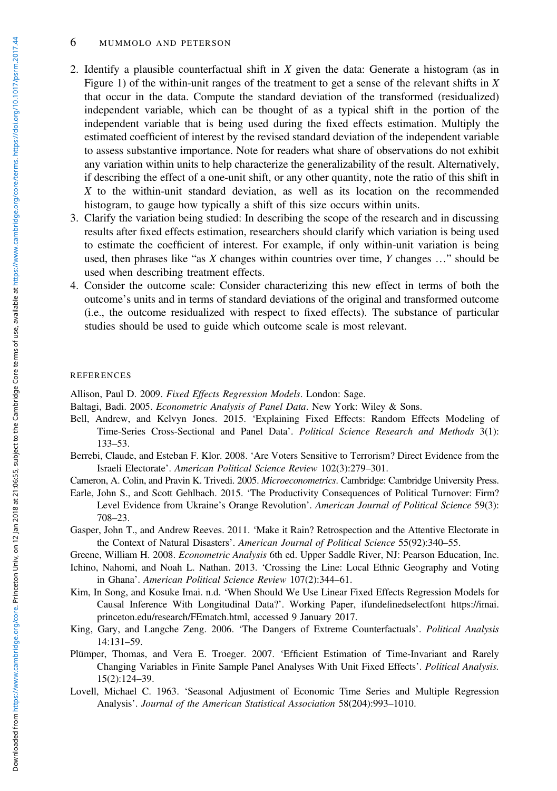#### 6 MUMMOLO AND PETERSON

- 2. Identify a plausible counterfactual shift in  $X$  given the data: Generate a histogram (as in Figure 1) of the within-unit ranges of the treatment to get a sense of the relevant shifts in  $X$ that occur in the data. Compute the standard deviation of the transformed (residualized) independent variable, which can be thought of as a typical shift in the portion of the independent variable that is being used during the fixed effects estimation. Multiply the estimated coefficient of interest by the revised standard deviation of the independent variable to assess substantive importance. Note for readers what share of observations do not exhibit any variation within units to help characterize the generalizability of the result. Alternatively, if describing the effect of a one-unit shift, or any other quantity, note the ratio of this shift in X to the within-unit standard deviation, as well as its location on the recommended histogram, to gauge how typically a shift of this size occurs within units.
- 3. Clarify the variation being studied: In describing the scope of the research and in discussing results after fixed effects estimation, researchers should clarify which variation is being used to estimate the coefficient of interest. For example, if only within-unit variation is being used, then phrases like "as  $X$  changes within countries over time,  $Y$  changes ..." should be used when describing treatment effects.
- 4. Consider the outcome scale: Consider characterizing this new effect in terms of both the outcome's units and in terms of standard deviations of the original and transformed outcome (i.e., the outcome residualized with respect to fixed effects). The substance of particular studies should be used to guide which outcome scale is most relevant.

#### REFERENCES

Allison, Paul D. 2009. Fixed Effects Regression Models. London: Sage.

Baltagi, Badi. 2005. Econometric Analysis of Panel Data. New York: Wiley & Sons.

- Bell, Andrew, and Kelvyn Jones. 2015. 'Explaining Fixed Effects: Random Effects Modeling of Time-Series Cross-Sectional and Panel Data'. Political Science Research and Methods 3(1): 133–53.
- Berrebi, Claude, and Esteban F. Klor. 2008. 'Are Voters Sensitive to Terrorism? Direct Evidence from the Israeli Electorate'. American Political Science Review 102(3):279–301.

Cameron, A. Colin, and Pravin K. Trivedi. 2005. Microeconometrics. Cambridge: Cambridge University Press.

Earle, John S., and Scott Gehlbach. 2015. 'The Productivity Consequences of Political Turnover: Firm? Level Evidence from Ukraine's Orange Revolution'. American Journal of Political Science 59(3): 708–23.

Gasper, John T., and Andrew Reeves. 2011. 'Make it Rain? Retrospection and the Attentive Electorate in the Context of Natural Disasters'. American Journal of Political Science 55(92):340-55.

Greene, William H. 2008. Econometric Analysis 6th ed. Upper Saddle River, NJ: Pearson Education, Inc.

- Ichino, Nahomi, and Noah L. Nathan. 2013. 'Crossing the Line: Local Ethnic Geography and Voting in Ghana'. American Political Science Review 107(2):344–61.
- Kim, In Song, and Kosuke Imai. n.d. 'When Should We Use Linear Fixed Effects Regression Models for Causal Inference With Longitudinal Data?'. Working Paper, ifundefinedselectfont [https://imai.](https://imai.princeton.edu/research/FEmatch.html) [princeton.edu/research/FEmatch.html](https://imai.princeton.edu/research/FEmatch.html), accessed 9 January 2017.
- King, Gary, and Langche Zeng. 2006. 'The Dangers of Extreme Counterfactuals'. Political Analysis 14:131–59.
- Plümper, Thomas, and Vera E. Troeger. 2007. 'Efficient Estimation of Time-Invariant and Rarely Changing Variables in Finite Sample Panel Analyses With Unit Fixed Effects'. Political Analysis. 15(2):124–39.
- Lovell, Michael C. 1963. 'Seasonal Adjustment of Economic Time Series and Multiple Regression Analysis'. Journal of the American Statistical Association 58(204):993–1010.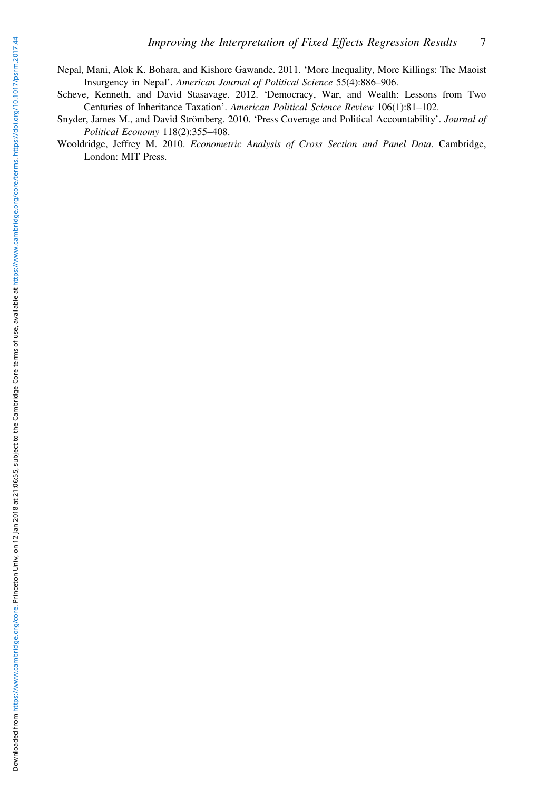- Nepal, Mani, Alok K. Bohara, and Kishore Gawande. 2011. 'More Inequality, More Killings: The Maoist Insurgency in Nepal'. American Journal of Political Science 55(4):886–906.
- Scheve, Kenneth, and David Stasavage. 2012. 'Democracy, War, and Wealth: Lessons from Two Centuries of Inheritance Taxation'. American Political Science Review 106(1):81–102.
- Snyder, James M., and David Strömberg. 2010. 'Press Coverage and Political Accountability'. Journal of Political Economy 118(2):355–408.
- Wooldridge, Jeffrey M. 2010. Econometric Analysis of Cross Section and Panel Data. Cambridge, London: MIT Press.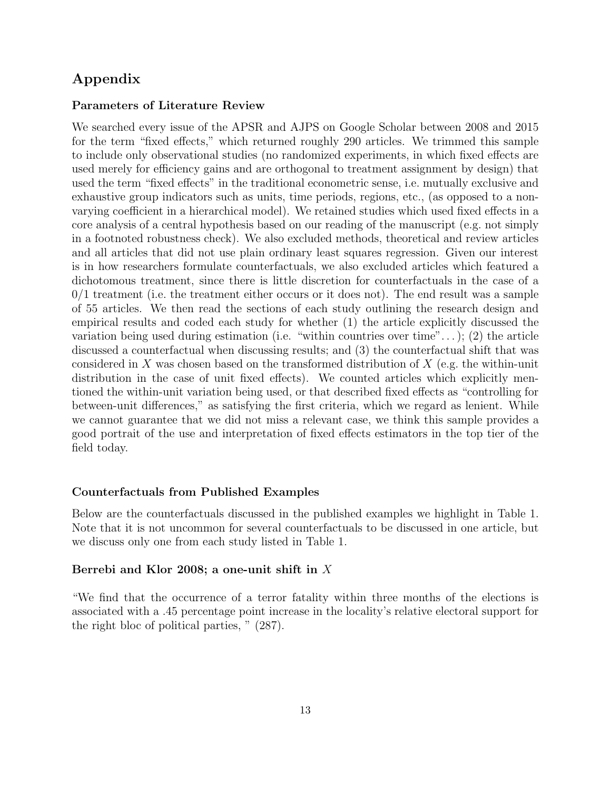# Appendix

### Parameters of Literature Review

We searched every issue of the APSR and AJPS on Google Scholar between 2008 and 2015 for the term "fixed effects," which returned roughly 290 articles. We trimmed this sample to include only observational studies (no randomized experiments, in which fixed effects are used merely for efficiency gains and are orthogonal to treatment assignment by design) that used the term "fixed effects" in the traditional econometric sense, i.e. mutually exclusive and exhaustive group indicators such as units, time periods, regions, etc., (as opposed to a nonvarying coefficient in a hierarchical model). We retained studies which used fixed effects in a core analysis of a central hypothesis based on our reading of the manuscript (e.g. not simply in a footnoted robustness check). We also excluded methods, theoretical and review articles and all articles that did not use plain ordinary least squares regression. Given our interest is in how researchers formulate counterfactuals, we also excluded articles which featured a dichotomous treatment, since there is little discretion for counterfactuals in the case of a  $0/1$  treatment (i.e. the treatment either occurs or it does not). The end result was a sample of 55 articles. We then read the sections of each study outlining the research design and empirical results and coded each study for whether (1) the article explicitly discussed the variation being used during estimation (i.e. "within countries over time"...); (2) the article discussed a counterfactual when discussing results; and (3) the counterfactual shift that was considered in *X* was chosen based on the transformed distribution of *X* (e.g. the within-unit distribution in the case of unit fixed effects). We counted articles which explicitly mentioned the within-unit variation being used, or that described fixed effects as "controlling for between-unit differences," as satisfying the first criteria, which we regard as lenient. While we cannot guarantee that we did not miss a relevant case, we think this sample provides a good portrait of the use and interpretation of fixed effects estimators in the top tier of the field today.

### Counterfactuals from Published Examples

Below are the counterfactuals discussed in the published examples we highlight in Table 1. Note that it is not uncommon for several counterfactuals to be discussed in one article, but we discuss only one from each study listed in Table 1.

### Berrebi and Klor 2008; a one-unit shift in *X*

"We find that the occurrence of a terror fatality within three months of the elections is associated with a .45 percentage point increase in the locality's relative electoral support for the right bloc of political parties, " (287).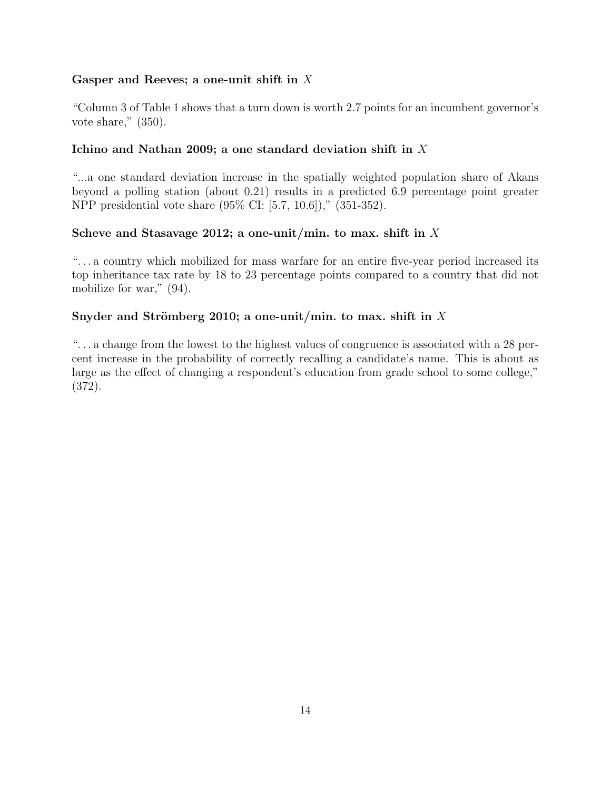# Gasper and Reeves; a one-unit shift in *X*

"Column 3 of Table 1 shows that a turn down is worth 2.7 points for an incumbent governor's vote share," (350).

# Ichino and Nathan 2009; a one standard deviation shift in *X*

"...a one standard deviation increase in the spatially weighted population share of Akans beyond a polling station (about 0.21) results in a predicted 6.9 percentage point greater NPP presidential vote share (95% CI: [5.7, 10.6])," (351-352).

# Scheve and Stasavage 2012; a one-unit/min. to max. shift in *X*

". . . a country which mobilized for mass warfare for an entire five-year period increased its top inheritance tax rate by 18 to 23 percentage points compared to a country that did not mobilize for war," (94).

# Snyder and Strömberg 2010; a one-unit/min. to max. shift in X

". . . a change from the lowest to the highest values of congruence is associated with a 28 percent increase in the probability of correctly recalling a candidate's name. This is about as large as the effect of changing a respondent's education from grade school to some college," (372).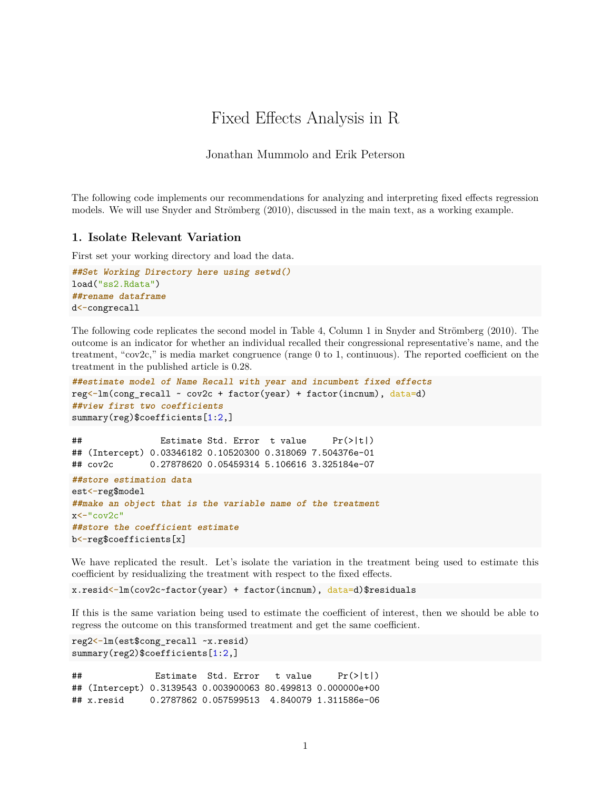# Fixed Effects Analysis in R

Jonathan Mummolo and Erik Peterson

The following code implements our recommendations for analyzing and interpreting fixed effects regression models. We will use Snyder and Strömberg (2010), discussed in the main text, as a working example.

## **1. Isolate Relevant Variation**

First set your working directory and load the data.

```
##Set Working Directory here using setwd()
load("ss2.Rdata")
##rename dataframe
d<-congrecall
```
The following code replicates the second model in Table 4, Column 1 in Snyder and Strömberg (2010). The outcome is an indicator for whether an individual recalled their congressional representative's name, and the treatment, "cov2c," is media market congruence (range 0 to 1, continuous). The reported coefficient on the treatment in the published article is 0.28.

```
##estimate model of Name Recall with year and incumbent fixed effects
reg<-lm(cong_recall ~ cov2c + factor(year) + factor(incnum), data=d)
##view first two coefficients
summary(reg)$coefficients[1:2,]
```

```
## Estimate Std. Error t value Pr(>|t|)
## (Intercept) 0.03346182 0.10520300 0.318069 7.504376e-01
## cov2c 0.27878620 0.05459314 5.106616 3.325184e-07
##store estimation data
est<-reg$model
##make an object that is the variable name of the treatment
x \leq -"\cos 2c"
##store the coefficient estimate
b<-reg$coefficients[x]
```
We have replicated the result. Let's isolate the variation in the treatment being used to estimate this coefficient by residualizing the treatment with respect to the fixed effects.

x.resid<-lm(cov2c~factor(year) + factor(incnum), data=d)\$residuals

If this is the same variation being used to estimate the coefficient of interest, then we should be able to regress the outcome on this transformed treatment and get the same coefficient.

```
reg2<-lm(est$cong_recall ~x.resid)
summary(reg2)$coefficients[1:2,]
```
## Estimate Std. Error t value Pr(>|t|) ## (Intercept) 0.3139543 0.003900063 80.499813 0.000000e+00 ## x.resid 0.2787862 0.057599513 4.840079 1.311586e-06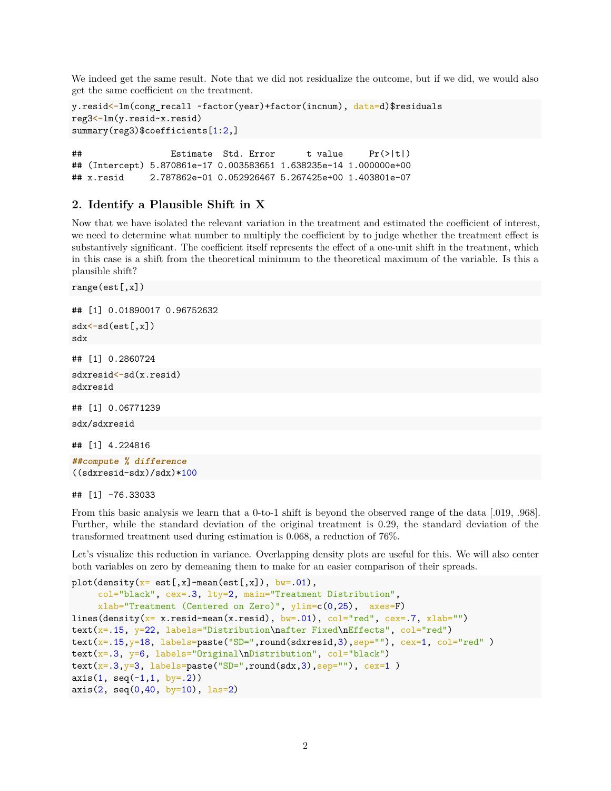We indeed get the same result. Note that we did not residualize the outcome, but if we did, we would also get the same coefficient on the treatment.

```
y.resid<-lm(cong_recall ~factor(year)+factor(incnum), data=d)$residuals
reg3<-lm(y.resid~x.resid)
summary(reg3)$coefficients[1:2,]
```
## Estimate Std. Error t value Pr(>|t|) ## (Intercept) 5.870861e-17 0.003583651 1.638235e-14 1.000000e+00 ## x.resid 2.787862e-01 0.052926467 5.267425e+00 1.403801e-07

### **2. Identify a Plausible Shift in X**

Now that we have isolated the relevant variation in the treatment and estimated the coefficient of interest, we need to determine what number to multiply the coefficient by to judge whether the treatment effect is substantively significant. The coefficient itself represents the effect of a one-unit shift in the treatment, which in this case is a shift from the theoretical minimum to the theoretical maximum of the variable. Is this a plausible shift?

```
range(est[,x])
```

```
## [1] 0.01890017 0.96752632
sdx < -sd(est[, x])sdx
## [1] 0.2860724
sdxresid<-sd(x.resid)
sdxresid
## [1] 0.06771239
```
sdx/sdxresid

```
## [1] 4.224816
##compute % difference
((sdxresid-sdx)/sdx)*100
```
#### ## [1] -76.33033

From this basic analysis we learn that a 0-to-1 shift is beyond the observed range of the data [.019, .968]. Further, while the standard deviation of the original treatment is 0.29, the standard deviation of the transformed treatment used during estimation is 0.068, a reduction of 76%.

Let's visualize this reduction in variance. Overlapping density plots are useful for this. We will also center both variables on zero by demeaning them to make for an easier comparison of their spreads.

```
plot(density(x=est[, x]-mean(est[, x]), bw=01),
     col="black", cex=.3, lty=2, main="Treatment Distribution",
     xlab="Treatment (Centered on Zero)", ylim=c(0,25), axes=F)
lines(density(x= x.resid-mean(x.resid), bw=.01), col="red", cex=.7, xlab="")
text(x=.15, y=22, labels="Distribution\nafter Fixed\nEffects", col="red")
text(x=.15,y=18, labels=paste("SD=",round(sdxresid,3),sep=""), cex=1, col="red")
text(x=.3, y=6, labels="Original\nDistribution", col="black")
text(x=-3,y=3, labels=paste("SD=",round(sdx,3),sep=""), cex=1)
axis(1, seq(-1, 1, by= 2))axis(2, seq(0, 40, by=10), las=2)
```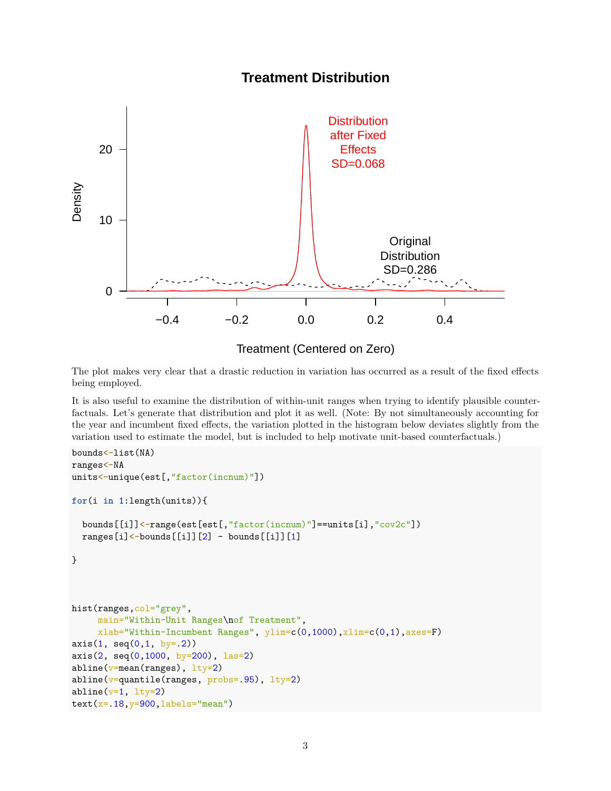# **Treatment Distribution**



Treatment (Centered on Zero)

The plot makes very clear that a drastic reduction in variation has occurred as a result of the fixed effects being employed.

It is also useful to examine the distribution of within-unit ranges when trying to identify plausible counterfactuals. Let's generate that distribution and plot it as well. (Note: By not simultaneously accounting for the year and incumbent fixed effects, the variation plotted in the histogram below deviates slightly from the variation used to estimate the model, but is included to help motivate unit-based counterfactuals.)

```
bounds<-list(NA)
ranges<-NA
units<-unique(est[,"factor(incnum)"])
for(i in 1:length(units)){
  bounds[[i]]<-range(est[est[,"factor(incnum)"]==units[i],"cov2c"])
  ranges[i] <-bounds[[i]][2] - bounds[[i]][1]}
hist(ranges, col="grey",
     main="Within-Unit Ranges\nof Treatment",
     xlab="Within-Incumbent Ranges", ylim=c(0,1000),xlim=c(0,1),axes=F)
axis(1, seq(0, 1, by= .2))axis(2, seq(0, 1000, by=200), las=2)abline(v=mean(ranges), lty=2)
abline(v=quantile(range, probes=.95), lty=2)
abline(v=1, lty=2)
text(x=.18, y=900, labels="mean")
```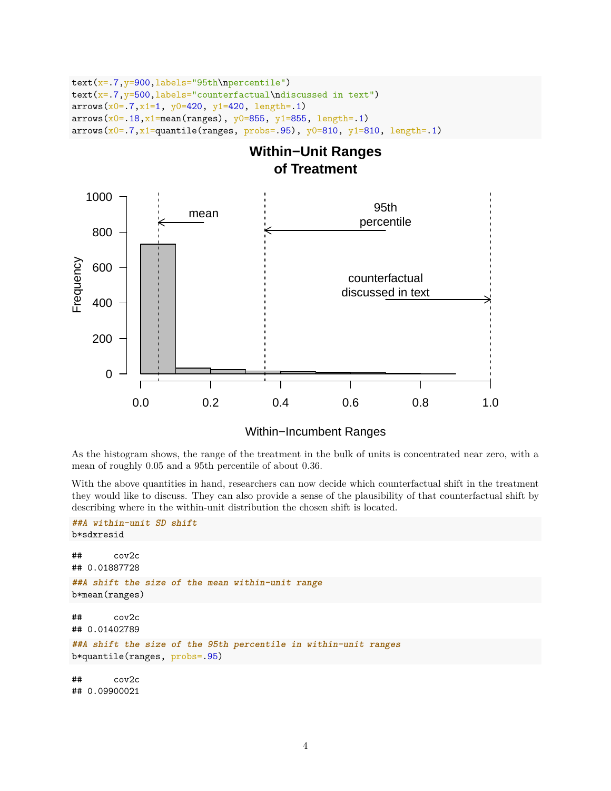```
text(x=.7,y=900,labels="95th\npercentile")
text(x=.7, y=500, labels="counterfactual\ndiscussed in text")arrows(x0=.7, x1=1, y0=420, y1=420, length=.1)arrows(x0=.18, x1=mean(range), y0=855, y1=855, length=.1)arrows(x0=.7,x1=quantile(range, probes=.95), y0=810, y1=810, length=.1)
```
# **Within−Unit Ranges of Treatment**



## Within−Incumbent Ranges

As the histogram shows, the range of the treatment in the bulk of units is concentrated near zero, with a mean of roughly 0.05 and a 95th percentile of about 0.36.

With the above quantities in hand, researchers can now decide which counterfactual shift in the treatment they would like to discuss. They can also provide a sense of the plausibility of that counterfactual shift by describing where in the within-unit distribution the chosen shift is located.

```
##A within-unit SD shift
b*sdxresid
## cov2c
## 0.01887728
##A shift the size of the mean within-unit range
b*mean(ranges)
## cov2c
## 0.01402789
##A shift the size of the 95th percentile in within-unit ranges
b*quantile(ranges, probs=.95)
## cov2c
## 0.09900021
```